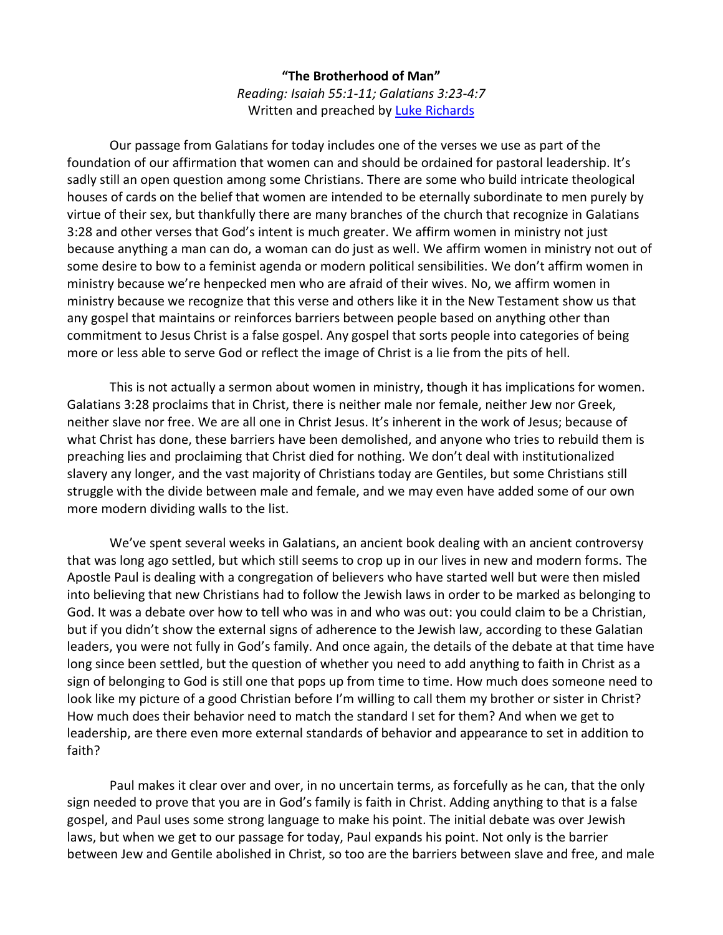## **"The Brotherhood of Man"** *Reading: Isaiah 55:1-11; Galatians 3:23-4:7* Written and preached by [Luke Richards](http://www.lukerichards.blogspot.com/)

Our passage from Galatians for today includes one of the verses we use as part of the foundation of our affirmation that women can and should be ordained for pastoral leadership. It's sadly still an open question among some Christians. There are some who build intricate theological houses of cards on the belief that women are intended to be eternally subordinate to men purely by virtue of their sex, but thankfully there are many branches of the church that recognize in Galatians 3:28 and other verses that God's intent is much greater. We affirm women in ministry not just because anything a man can do, a woman can do just as well. We affirm women in ministry not out of some desire to bow to a feminist agenda or modern political sensibilities. We don't affirm women in ministry because we're henpecked men who are afraid of their wives. No, we affirm women in ministry because we recognize that this verse and others like it in the New Testament show us that any gospel that maintains or reinforces barriers between people based on anything other than commitment to Jesus Christ is a false gospel. Any gospel that sorts people into categories of being more or less able to serve God or reflect the image of Christ is a lie from the pits of hell.

This is not actually a sermon about women in ministry, though it has implications for women. Galatians 3:28 proclaims that in Christ, there is neither male nor female, neither Jew nor Greek, neither slave nor free. We are all one in Christ Jesus. It's inherent in the work of Jesus; because of what Christ has done, these barriers have been demolished, and anyone who tries to rebuild them is preaching lies and proclaiming that Christ died for nothing. We don't deal with institutionalized slavery any longer, and the vast majority of Christians today are Gentiles, but some Christians still struggle with the divide between male and female, and we may even have added some of our own more modern dividing walls to the list.

We've spent several weeks in Galatians, an ancient book dealing with an ancient controversy that was long ago settled, but which still seems to crop up in our lives in new and modern forms. The Apostle Paul is dealing with a congregation of believers who have started well but were then misled into believing that new Christians had to follow the Jewish laws in order to be marked as belonging to God. It was a debate over how to tell who was in and who was out: you could claim to be a Christian, but if you didn't show the external signs of adherence to the Jewish law, according to these Galatian leaders, you were not fully in God's family. And once again, the details of the debate at that time have long since been settled, but the question of whether you need to add anything to faith in Christ as a sign of belonging to God is still one that pops up from time to time. How much does someone need to look like my picture of a good Christian before I'm willing to call them my brother or sister in Christ? How much does their behavior need to match the standard I set for them? And when we get to leadership, are there even more external standards of behavior and appearance to set in addition to faith?

Paul makes it clear over and over, in no uncertain terms, as forcefully as he can, that the only sign needed to prove that you are in God's family is faith in Christ. Adding anything to that is a false gospel, and Paul uses some strong language to make his point. The initial debate was over Jewish laws, but when we get to our passage for today, Paul expands his point. Not only is the barrier between Jew and Gentile abolished in Christ, so too are the barriers between slave and free, and male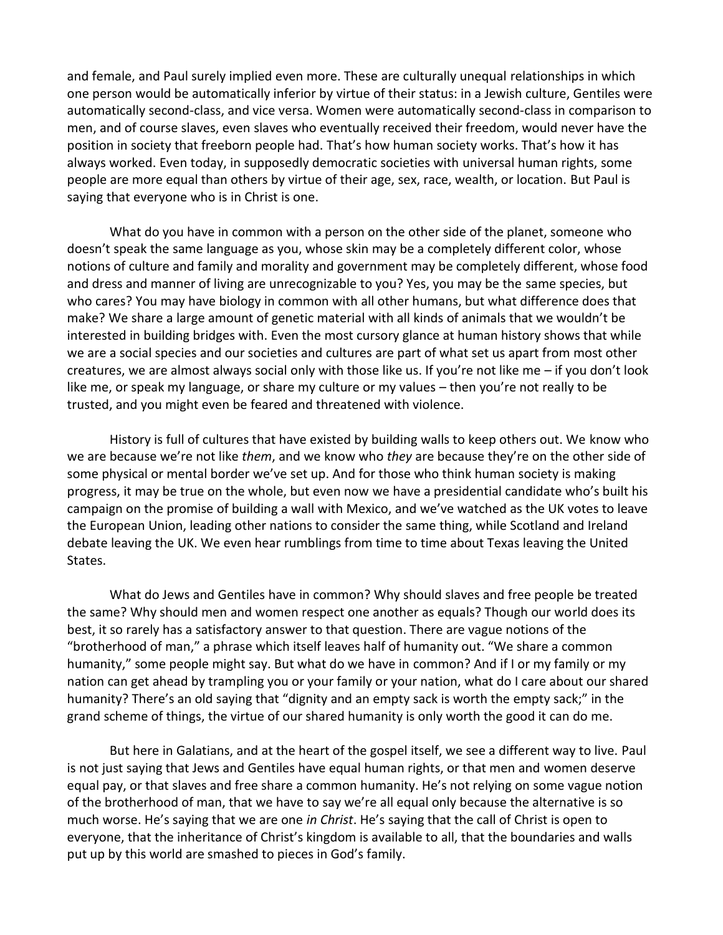and female, and Paul surely implied even more. These are culturally unequal relationships in which one person would be automatically inferior by virtue of their status: in a Jewish culture, Gentiles were automatically second-class, and vice versa. Women were automatically second-class in comparison to men, and of course slaves, even slaves who eventually received their freedom, would never have the position in society that freeborn people had. That's how human society works. That's how it has always worked. Even today, in supposedly democratic societies with universal human rights, some people are more equal than others by virtue of their age, sex, race, wealth, or location. But Paul is saying that everyone who is in Christ is one.

What do you have in common with a person on the other side of the planet, someone who doesn't speak the same language as you, whose skin may be a completely different color, whose notions of culture and family and morality and government may be completely different, whose food and dress and manner of living are unrecognizable to you? Yes, you may be the same species, but who cares? You may have biology in common with all other humans, but what difference does that make? We share a large amount of genetic material with all kinds of animals that we wouldn't be interested in building bridges with. Even the most cursory glance at human history shows that while we are a social species and our societies and cultures are part of what set us apart from most other creatures, we are almost always social only with those like us. If you're not like me – if you don't look like me, or speak my language, or share my culture or my values – then you're not really to be trusted, and you might even be feared and threatened with violence.

History is full of cultures that have existed by building walls to keep others out. We know who we are because we're not like *them*, and we know who *they* are because they're on the other side of some physical or mental border we've set up. And for those who think human society is making progress, it may be true on the whole, but even now we have a presidential candidate who's built his campaign on the promise of building a wall with Mexico, and we've watched as the UK votes to leave the European Union, leading other nations to consider the same thing, while Scotland and Ireland debate leaving the UK. We even hear rumblings from time to time about Texas leaving the United States.

What do Jews and Gentiles have in common? Why should slaves and free people be treated the same? Why should men and women respect one another as equals? Though our world does its best, it so rarely has a satisfactory answer to that question. There are vague notions of the "brotherhood of man," a phrase which itself leaves half of humanity out. "We share a common humanity," some people might say. But what do we have in common? And if I or my family or my nation can get ahead by trampling you or your family or your nation, what do I care about our shared humanity? There's an old saying that "dignity and an empty sack is worth the empty sack;" in the grand scheme of things, the virtue of our shared humanity is only worth the good it can do me.

But here in Galatians, and at the heart of the gospel itself, we see a different way to live. Paul is not just saying that Jews and Gentiles have equal human rights, or that men and women deserve equal pay, or that slaves and free share a common humanity. He's not relying on some vague notion of the brotherhood of man, that we have to say we're all equal only because the alternative is so much worse. He's saying that we are one *in Christ*. He's saying that the call of Christ is open to everyone, that the inheritance of Christ's kingdom is available to all, that the boundaries and walls put up by this world are smashed to pieces in God's family.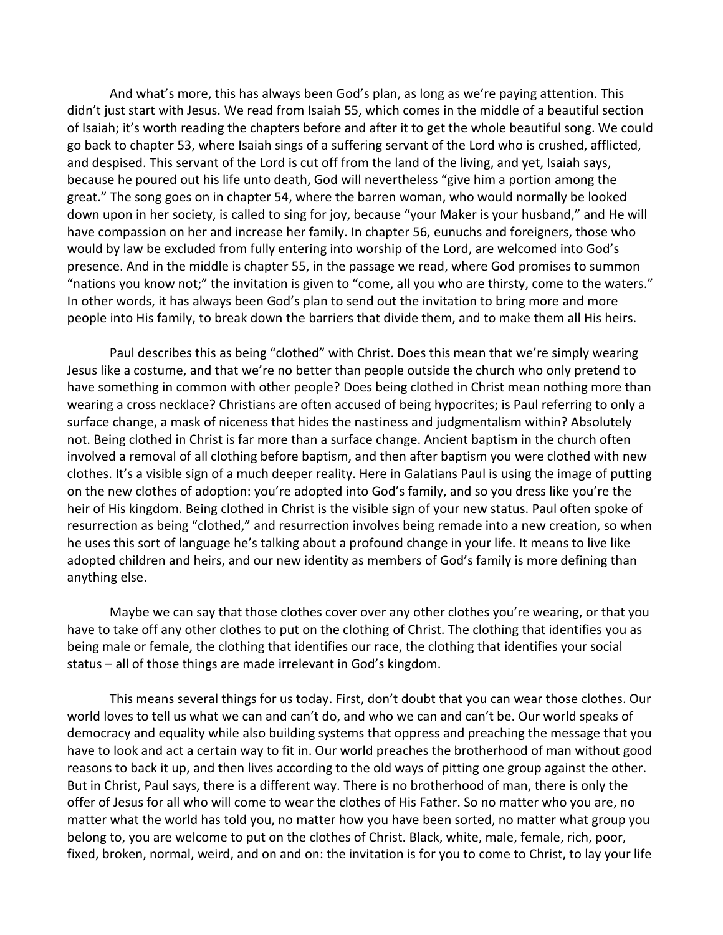And what's more, this has always been God's plan, as long as we're paying attention. This didn't just start with Jesus. We read from Isaiah 55, which comes in the middle of a beautiful section of Isaiah; it's worth reading the chapters before and after it to get the whole beautiful song. We could go back to chapter 53, where Isaiah sings of a suffering servant of the Lord who is crushed, afflicted, and despised. This servant of the Lord is cut off from the land of the living, and yet, Isaiah says, because he poured out his life unto death, God will nevertheless "give him a portion among the great." The song goes on in chapter 54, where the barren woman, who would normally be looked down upon in her society, is called to sing for joy, because "your Maker is your husband," and He will have compassion on her and increase her family. In chapter 56, eunuchs and foreigners, those who would by law be excluded from fully entering into worship of the Lord, are welcomed into God's presence. And in the middle is chapter 55, in the passage we read, where God promises to summon "nations you know not;" the invitation is given to "come, all you who are thirsty, come to the waters." In other words, it has always been God's plan to send out the invitation to bring more and more people into His family, to break down the barriers that divide them, and to make them all His heirs.

Paul describes this as being "clothed" with Christ. Does this mean that we're simply wearing Jesus like a costume, and that we're no better than people outside the church who only pretend to have something in common with other people? Does being clothed in Christ mean nothing more than wearing a cross necklace? Christians are often accused of being hypocrites; is Paul referring to only a surface change, a mask of niceness that hides the nastiness and judgmentalism within? Absolutely not. Being clothed in Christ is far more than a surface change. Ancient baptism in the church often involved a removal of all clothing before baptism, and then after baptism you were clothed with new clothes. It's a visible sign of a much deeper reality. Here in Galatians Paul is using the image of putting on the new clothes of adoption: you're adopted into God's family, and so you dress like you're the heir of His kingdom. Being clothed in Christ is the visible sign of your new status. Paul often spoke of resurrection as being "clothed," and resurrection involves being remade into a new creation, so when he uses this sort of language he's talking about a profound change in your life. It means to live like adopted children and heirs, and our new identity as members of God's family is more defining than anything else.

Maybe we can say that those clothes cover over any other clothes you're wearing, or that you have to take off any other clothes to put on the clothing of Christ. The clothing that identifies you as being male or female, the clothing that identifies our race, the clothing that identifies your social status – all of those things are made irrelevant in God's kingdom.

This means several things for us today. First, don't doubt that you can wear those clothes. Our world loves to tell us what we can and can't do, and who we can and can't be. Our world speaks of democracy and equality while also building systems that oppress and preaching the message that you have to look and act a certain way to fit in. Our world preaches the brotherhood of man without good reasons to back it up, and then lives according to the old ways of pitting one group against the other. But in Christ, Paul says, there is a different way. There is no brotherhood of man, there is only the offer of Jesus for all who will come to wear the clothes of His Father. So no matter who you are, no matter what the world has told you, no matter how you have been sorted, no matter what group you belong to, you are welcome to put on the clothes of Christ. Black, white, male, female, rich, poor, fixed, broken, normal, weird, and on and on: the invitation is for you to come to Christ, to lay your life